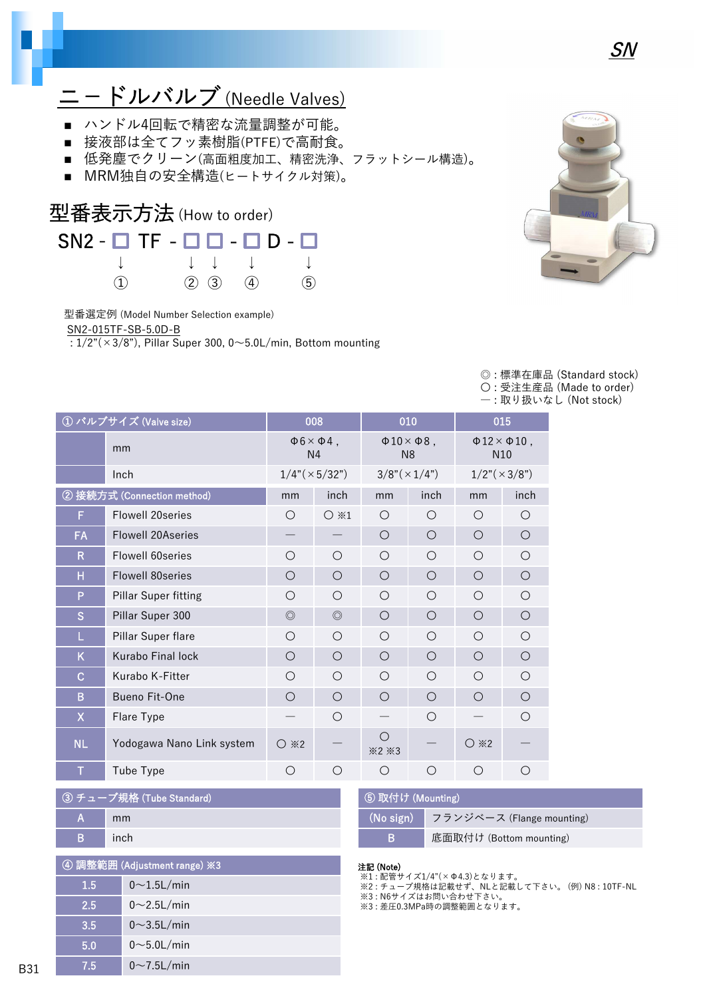

# ニ−ドルバルブ(Needle Valves)

- ハンドル4回転で精密な流量調整が可能。
- 接液部は全てフッ素樹脂(PTFE)で高耐食。
- 低発塵でクリーン(高面粗度加工、精密洗浄、フラットシール構造)。
- MRM独自の安全構造(ヒートサイクル対策)。



型番選定例 (Model Number Selection example)

SN2-015TF-SB-5.0D-B

 $\frac{1}{2}$ : 1/2"(×3/8"), Pillar Super 300, 0~5.0L/min, Bottom mounting



◎ : 標準在庫品 (Standard stock) 〇 : 受注生産品 (Made to order) ― : 取り扱いなし (Not stock)

| ① バルブサイズ (Valve size) |                             | 008                                           |                | 010                  |                      | 015                                              |            |
|-----------------------|-----------------------------|-----------------------------------------------|----------------|----------------------|----------------------|--------------------------------------------------|------------|
|                       | mm                          | $\Phi$ 6 $\times$ $\Phi$ 4,<br>N <sub>4</sub> |                | N <sub>8</sub>       | $\Phi$ 10× $\Phi$ 8, | $\Phi$ 12 $\times$ $\Phi$ 10,<br>N <sub>10</sub> |            |
|                       | Inch                        | $1/4$ " ( $\times$ 5/32")                     |                | $3/8" (\times 1/4")$ |                      | $1/2$ " ( $\times$ 3/8")                         |            |
|                       | ② 接続方式 (Connection method)  | mm                                            | inch           | mm                   | inch                 | mm                                               | inch       |
| F                     | <b>Flowell 20series</b>     | O                                             | $\bigcirc$ *1  | $\bigcirc$           | $\bigcirc$           | $\bigcirc$                                       | O          |
| FA                    | <b>Flowell 20Aseries</b>    |                                               |                | $\circ$              | $\bigcirc$           | $\bigcirc$                                       | $\bigcirc$ |
| R                     | Flowell 60 series           | $\bigcirc$                                    | ∩              | $\bigcirc$           | $\bigcirc$           | ◯                                                | $\bigcirc$ |
| H                     | Flowell 80 series           | $\circ$                                       | O              | $\circ$              | $\circ$              | $\bigcirc$                                       | $\bigcirc$ |
| P                     | <b>Pillar Super fitting</b> | $\bigcirc$                                    | O              | $\bigcirc$           | $\bigcirc$           | $\bigcirc$                                       | $\bigcirc$ |
| S                     | Pillar Super 300            | $\circledcirc$                                | $\circledcirc$ | $\circ$              | $\bigcirc$           | $\bigcirc$                                       | $\bigcirc$ |
| L                     | Pillar Super flare          | $\bigcirc$                                    | ∩              | ◯                    | $\bigcirc$           | ◯                                                | ◯          |
| K                     | Kurabo Final lock           | $\bigcirc$                                    | O              | $\bigcirc$           | $\bigcirc$           | $\bigcirc$                                       | $\bigcirc$ |
| $\overline{C}$        | Kurabo K-Fitter             | $\bigcirc$                                    | O              | $\bigcirc$           | $\bigcirc$           | $\bigcirc$                                       | O          |
| B                     | <b>Bueno Fit-One</b>        | $\bigcirc$                                    | O              | $\bigcirc$           | $\bigcirc$           | $\bigcirc$                                       | $\bigcirc$ |
| X                     | Flare Type                  |                                               | O              |                      | $\circ$              |                                                  | O          |
| <b>NL</b>             | Yodogawa Nano Link system   | $\bigcirc$ *2                                 |                | $\bigcirc$<br>×2×3   |                      | $\bigcirc$ *2                                    |            |
| т                     | Tube Type                   | Ω                                             | ◯              | O                    | O                    | ∩                                                | ◯          |

|   | ③ チューブ規格 (Tube Standard) |
|---|--------------------------|
| A | mm                       |
| в | inch                     |

| 4 調整範囲 (Adjustment range) ※3 |                    |  |  |  |
|------------------------------|--------------------|--|--|--|
| 1.5                          | $0\sim$ 1.5L/min   |  |  |  |
| 2.5                          | $0 \sim 2.5$ L/min |  |  |  |
| 3.5                          | $0\sim$ 3.5L/min   |  |  |  |
| 5.0                          | $0\sim$ 5.0L/min   |  |  |  |
| 7.5                          | $0 \sim 7.5$ L/min |  |  |  |

| 5 取付け (Mounting) |                           |  |  |  |
|------------------|---------------------------|--|--|--|
| $(No$ sign)      | フランジベース (Flange mounting) |  |  |  |
| B                | 底面取付け (Bottom mounting)   |  |  |  |

#### 注記 (Note)

- ※1 : 配管サイズ1/4"(×Φ4.3)となります。
- ※2 : チューブ規格は記載せず、NLと記載して下さい。 (例) N8 : 10TF-NL .....<br>※3 : N6サイズはお問い合わせ下さい。
- ※3 : 差圧0.3MPa時の調整範囲となります。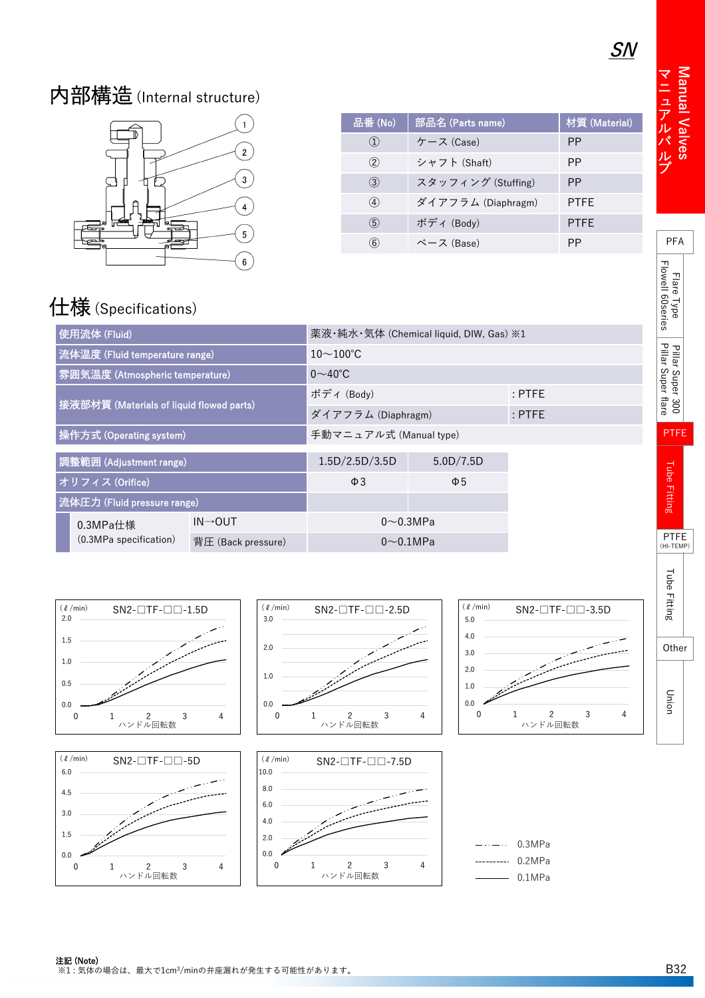Wanual V

alv e s

PFA

Flare Type Flowell 60series

Pillar Super 300<br>Pillar Super flare

PTFE

Tube Fitting

**Tube Fitting** 

PTFE (HI-TEMP)

マニュアルバルブ

## 内部構造(Internal structure)



| 品番 (No)           | 部品名 (Parts name)   | 材質 (Material) |
|-------------------|--------------------|---------------|
| $\left( 1\right)$ | ケース (Case)         | PP            |
| (2)               | シャフト (Shaft)       | РP            |
| (3)               | スタッフィング (Stuffing) | <b>PP</b>     |
| $\circled{4}$     | ダイアフラム (Diaphragm) | <b>PTFE</b>   |
| $\circ$           | ボディ (Body)         | <b>PTFE</b>   |
| $\circled{6}$     | ベース (Base)         | PP            |

# 仕様(Specifications)

| 使用流体 (Fluid)                                 | 薬液・純水・気体 (Chemical liquid, DIW, Gas) ※1 |                                |  |  |  |
|----------------------------------------------|-----------------------------------------|--------------------------------|--|--|--|
| 流体温度 (Fluid temperature range)               | $10\sim100^{\circ}$ C                   |                                |  |  |  |
| 雰囲気温度 (Atmospheric temperature)              | $0\sim 40^{\circ}$ C                    |                                |  |  |  |
| 接液部材質 (Materials of liquid flowed parts)     | ボディ (Body)                              |                                |  |  |  |
|                                              |                                         | ダイアフラム (Diaphragm)<br>$:$ PTFE |  |  |  |
| 操作方式 (Operating system)                      | 手動マニュアル式 (Manual type)                  |                                |  |  |  |
| 調整範囲 (Adjustment range)                      | 1.5D/2.5D/3.5D                          | 5.0D/7.5D                      |  |  |  |
| オリフィス (Orifice)                              | $\Phi$ 3                                | $\Phi$ 5                       |  |  |  |
| 流体圧力 (Fluid pressure range)                  |                                         |                                |  |  |  |
| $IN \rightarrow OUT$<br>0.3MPa仕様             |                                         | $0\sim 0.3$ MPa                |  |  |  |
| (0.3MPa specification)<br>背圧 (Back pressure) | $0\sim 0.1$ MPa                         |                                |  |  |  |

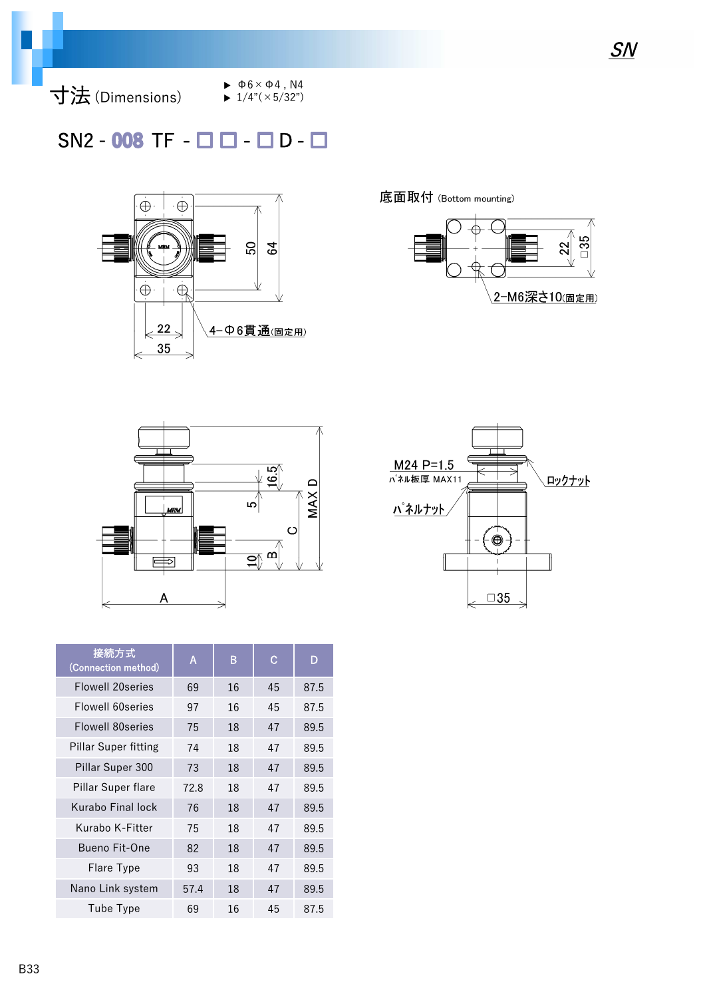

- $\blacktriangleright \Phi6 \times \Phi4$ , N4
- $\blacktriangleright$  1/4"( $\times$  5/32")

### $SN2 - 008$  TF -  $\Box$   $\Box$  -  $\Box$  D -  $\Box$



底面取付 (Bottom mounting)







| 接続方式<br>(Connection method) | A    | B  | C  | D    |
|-----------------------------|------|----|----|------|
| <b>Flowell 20series</b>     | 69   | 16 | 45 | 87.5 |
| Flowell 60 series           | 97   | 16 | 45 | 87.5 |
| <b>Flowell 80 series</b>    | 75   | 18 | 47 | 89.5 |
| <b>Pillar Super fitting</b> | 74   | 18 | 47 | 89.5 |
| Pillar Super 300            | 73   | 18 | 47 | 89.5 |
| Pillar Super flare          | 72.8 | 18 | 47 | 89.5 |
| Kurabo Final lock           | 76   | 18 | 47 | 89.5 |
| Kurabo K-Fitter             | 75   | 18 | 47 | 89.5 |
| Bueno Fit-One               | 82   | 18 | 47 | 89.5 |
| Flare Type                  | 93   | 18 | 47 | 89.5 |
| Nano Link system            | 57.4 | 18 | 47 | 89.5 |
| Tube Type                   | 69   | 16 | 45 | 87.5 |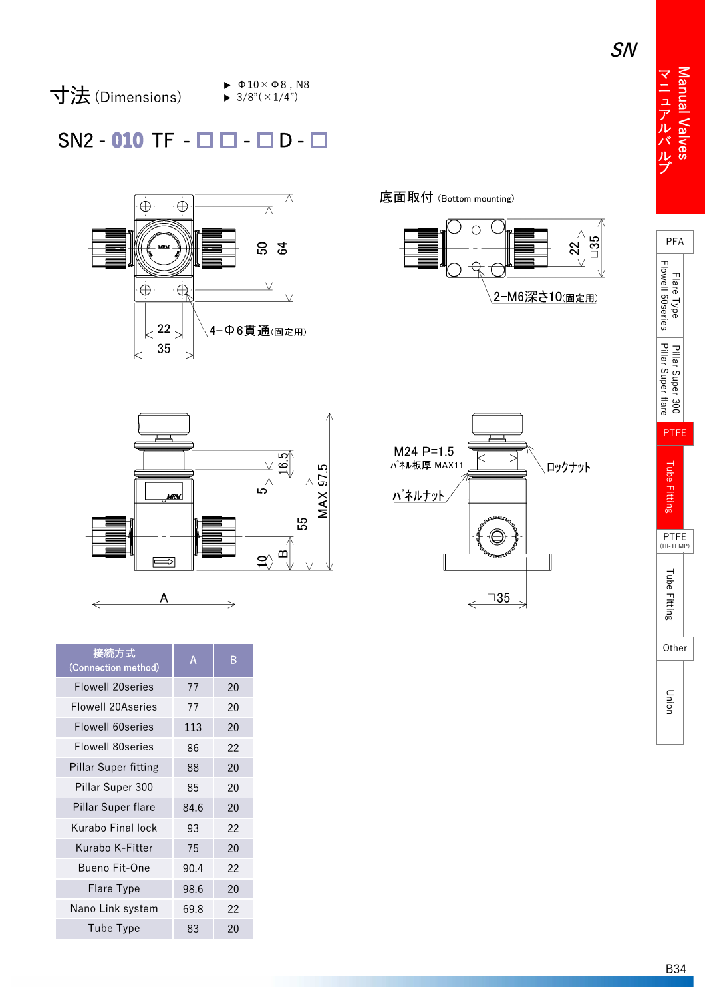Manual Valves マニュアルバルブマニュアルバルブ



 $\blacktriangleright$   $\Phi$ 10  $\times$   $\Phi$ 8, N8  $\blacktriangleright$  3/8"( $\times$ 1/4")

SN2 - 010 TF - □ □ - □ D -



底面取付 (Bottom mounting)





| $M24$ P=1.5<br>パネル板厚 MAX11 |           | ロックナット |
|----------------------------|-----------|--------|
| パネルナット                     |           |        |
|                            |           |        |
|                            | $\Box 35$ |        |

| <b>PFA</b>                    |      |
|-------------------------------|------|
| Π<br>l<br>- 101 C<br>ł        |      |
|                               |      |
| TFE<br>ľ                      |      |
| ו<br>וופ<br>ö                 |      |
| F<br>TFI<br><b>TEM</b><br>(HI | /IP) |
| ۲,<br>n<br>İ                  |      |
| Other                         |      |
|                               |      |

| 接続方式<br>(Connection method) | A    | B  |
|-----------------------------|------|----|
| <b>Flowell 20series</b>     | 77   | 20 |
| <b>Flowell 20Aseries</b>    | 77   | 20 |
| Flowell 60 series           | 113  | 20 |
| Flowell 80 series           | 86   | 22 |
| <b>Pillar Super fitting</b> | 88   | 20 |
| Pillar Super 300            | 85   | 20 |
| Pillar Super flare          | 84.6 | 20 |
| Kurabo Final lock           | 93   | 22 |
| Kurabo K-Fitter             | 75   | 20 |
| Bueno Fit-One               | 90.4 | 22 |
| Flare Type                  | 98.6 | 20 |
| Nano Link system            | 69.8 | 22 |
| Tube Type                   | 83   | 20 |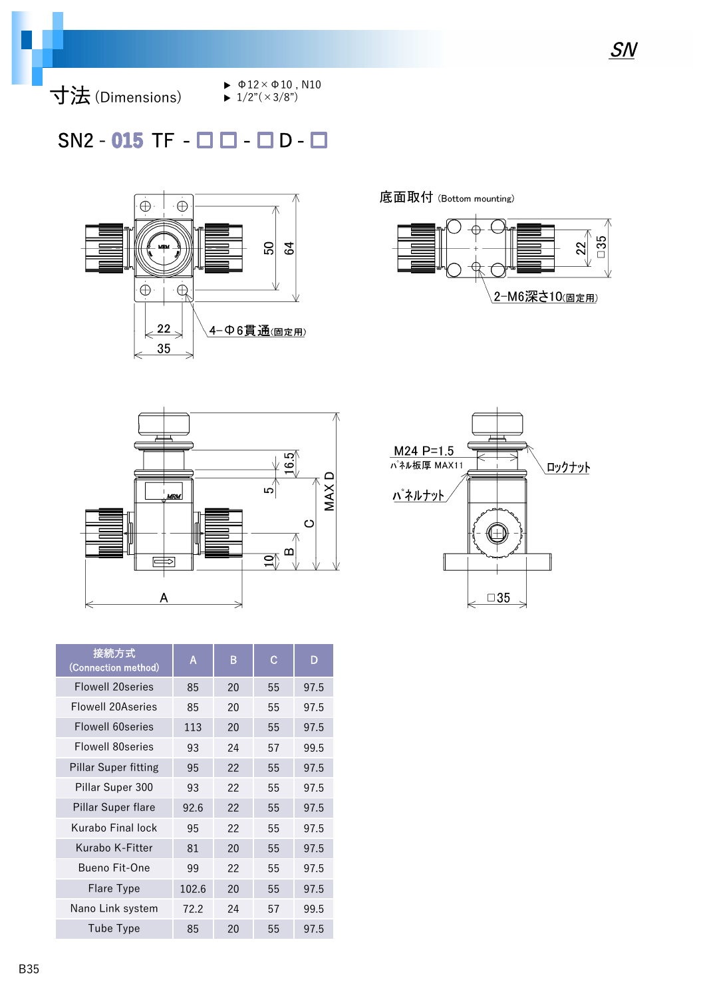

 $\blacktriangleright$   $\Phi$ 12× $\Phi$ 10, N10

 $\blacktriangleright$  1/2"( $\times$ 3/8")

### $SN2 - 015$  TF  $\Box$   $\Box$   $\Box$   $D \Box$



底面取付 (Bottom mounting)







| 接続方式<br>(Connection method) | A     | B  | С  | D    |
|-----------------------------|-------|----|----|------|
| <b>Flowell 20series</b>     | 85    | 20 | 55 | 97.5 |
| <b>Flowell 20Aseries</b>    | 85    | 20 | 55 | 97.5 |
| Flowell 60series            | 113   | 20 | 55 | 97.5 |
| Flowell 80 series           | 93    | 24 | 57 | 99.5 |
| <b>Pillar Super fitting</b> | 95    | 22 | 55 | 97.5 |
| Pillar Super 300            | 93    | 22 | 55 | 97.5 |
| Pillar Super flare          | 92.6  | 22 | 55 | 97.5 |
| Kurabo Final lock           | 95    | 22 | 55 | 97.5 |
| Kurabo K-Fitter             | 81    | 20 | 55 | 97.5 |
| <b>Bueno Fit-One</b>        | 99    | 22 | 55 | 97.5 |
| <b>Flare Type</b>           | 102.6 | 20 | 55 | 97.5 |
| Nano Link system            | 72.2  | 24 | 57 | 99.5 |
| Tube Type                   | 85    | 20 | 55 | 97.5 |